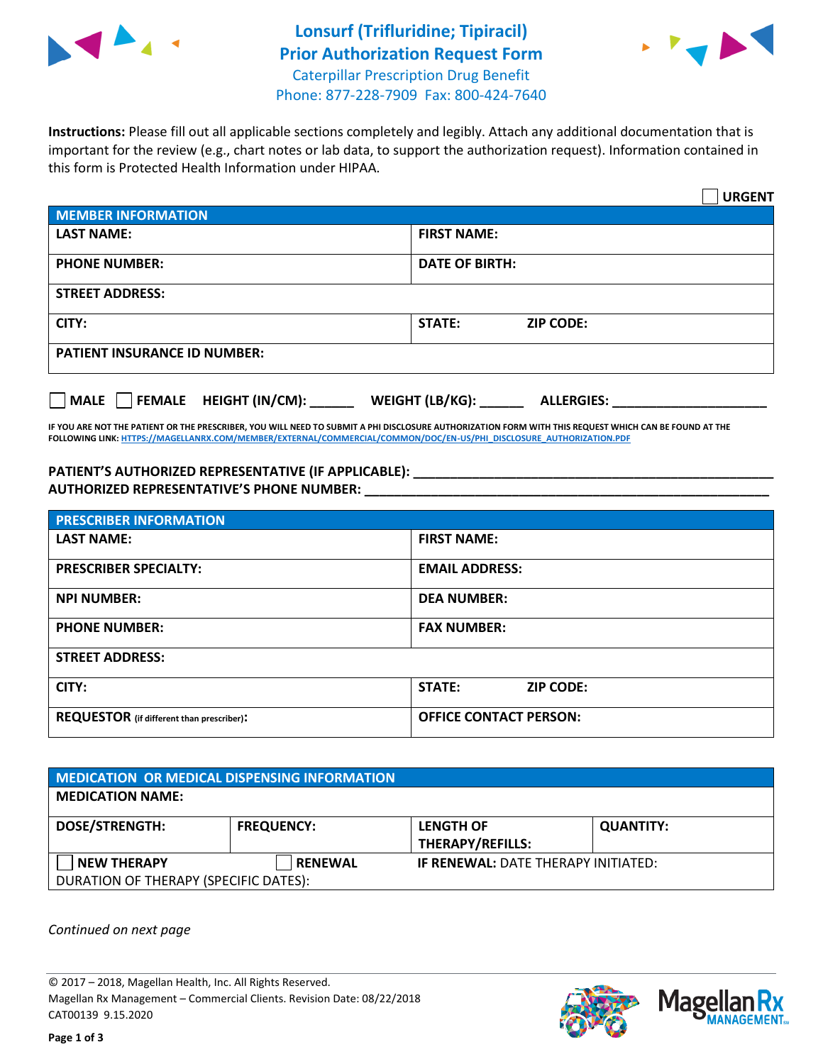



**Instructions:** Please fill out all applicable sections completely and legibly. Attach any additional documentation that is important for the review (e.g., chart notes or lab data, to support the authorization request). Information contained in this form is Protected Health Information under HIPAA.

|                                       | <b>URGENT</b>                        |
|---------------------------------------|--------------------------------------|
| <b>MEMBER INFORMATION</b>             |                                      |
| <b>LAST NAME:</b>                     | <b>FIRST NAME:</b>                   |
| <b>PHONE NUMBER:</b>                  | <b>DATE OF BIRTH:</b>                |
| <b>STREET ADDRESS:</b>                |                                      |
| CITY:                                 | <b>ZIP CODE:</b><br>STATE:           |
| <b>PATIENT INSURANCE ID NUMBER:</b>   |                                      |
| FEMALE HEIGHT (IN/CM):<br><b>MALE</b> | WEIGHT (LB/KG):<br><b>ALLERGIES:</b> |

**IF YOU ARE NOT THE PATIENT OR THE PRESCRIBER, YOU WILL NEED TO SUBMIT A PHI DISCLOSURE AUTHORIZATION FORM WITH THIS REQUEST WHICH CAN BE FOUND AT THE FOLLOWING LINK[: HTTPS://MAGELLANRX.COM/MEMBER/EXTERNAL/COMMERCIAL/COMMON/DOC/EN-US/PHI\\_DISCLOSURE\\_AUTHORIZATION.PDF](https://magellanrx.com/member/external/commercial/common/doc/en-us/PHI_Disclosure_Authorization.pdf)**

**PATIENT'S AUTHORIZED REPRESENTATIVE (IF APPLICABLE): \_\_\_\_\_\_\_\_\_\_\_\_\_\_\_\_\_\_\_\_\_\_\_\_\_\_\_\_\_\_\_\_\_\_\_\_\_\_\_\_\_\_\_\_\_\_\_\_\_ AUTHORIZED REPRESENTATIVE'S PHONE NUMBER: \_\_\_\_\_\_\_\_\_\_\_\_\_\_\_\_\_\_\_\_\_\_\_\_\_\_\_\_\_\_\_\_\_\_\_\_\_\_\_\_\_\_\_\_\_\_\_\_\_\_\_\_\_\_\_**

| <b>PRESCRIBER INFORMATION</b>             |                               |  |  |  |
|-------------------------------------------|-------------------------------|--|--|--|
| <b>LAST NAME:</b>                         | <b>FIRST NAME:</b>            |  |  |  |
| <b>PRESCRIBER SPECIALTY:</b>              | <b>EMAIL ADDRESS:</b>         |  |  |  |
| <b>NPI NUMBER:</b>                        | <b>DEA NUMBER:</b>            |  |  |  |
| <b>PHONE NUMBER:</b>                      | <b>FAX NUMBER:</b>            |  |  |  |
| <b>STREET ADDRESS:</b>                    |                               |  |  |  |
| CITY:                                     | STATE:<br><b>ZIP CODE:</b>    |  |  |  |
| REQUESTOR (if different than prescriber): | <b>OFFICE CONTACT PERSON:</b> |  |  |  |

| <b>MEDICATION OR MEDICAL DISPENSING INFORMATION</b> |                   |                                            |                  |  |  |
|-----------------------------------------------------|-------------------|--------------------------------------------|------------------|--|--|
| <b>MEDICATION NAME:</b>                             |                   |                                            |                  |  |  |
| <b>DOSE/STRENGTH:</b>                               | <b>FREQUENCY:</b> | <b>LENGTH OF</b>                           | <b>QUANTITY:</b> |  |  |
|                                                     |                   | <b>THERAPY/REFILLS:</b>                    |                  |  |  |
| <b>NEW THERAPY</b>                                  | <b>RENEWAL</b>    | <b>IF RENEWAL: DATE THERAPY INITIATED:</b> |                  |  |  |
| DURATION OF THERAPY (SPECIFIC DATES):               |                   |                                            |                  |  |  |

*Continued on next page*

© 2017 – 2018, Magellan Health, Inc. All Rights Reserved. Magellan Rx Management – Commercial Clients. Revision Date: 08/22/2018 CAT00139 9.15.2020



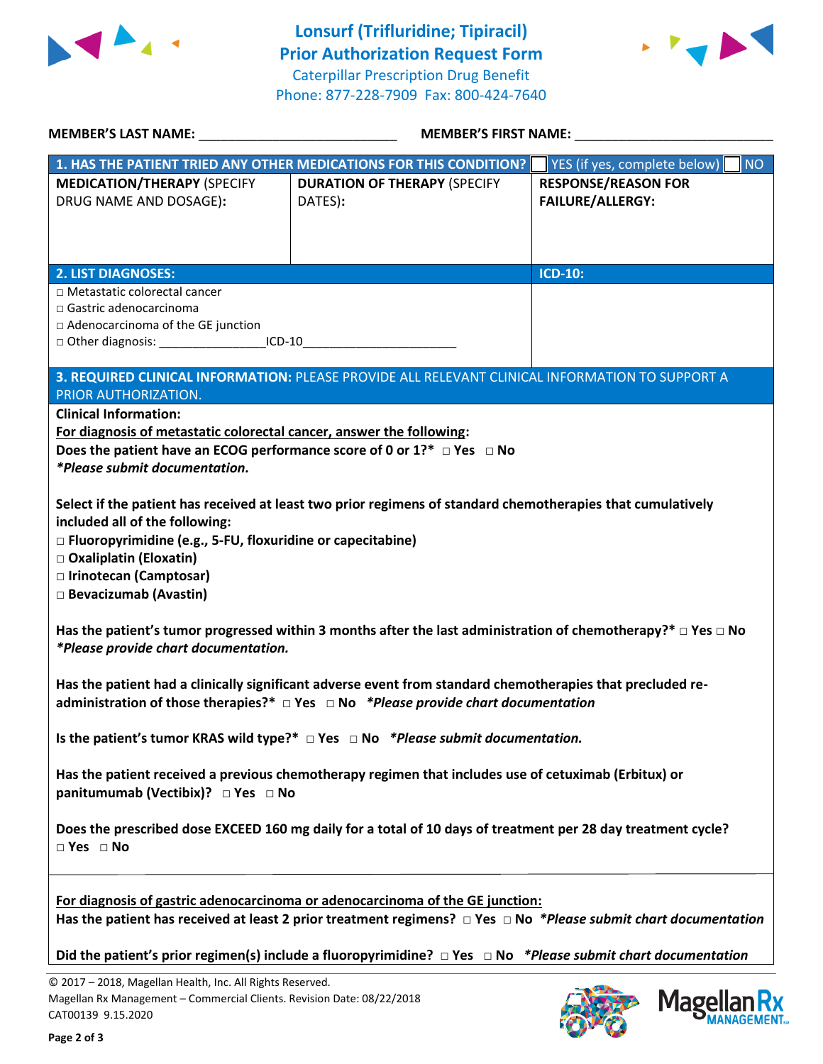



|                                                                                                                                                                                                                              | <b>MEMBER'S FIRST NAME:</b>                                                                                                                                                                                |                                                       |  |
|------------------------------------------------------------------------------------------------------------------------------------------------------------------------------------------------------------------------------|------------------------------------------------------------------------------------------------------------------------------------------------------------------------------------------------------------|-------------------------------------------------------|--|
|                                                                                                                                                                                                                              | 1. HAS THE PATIENT TRIED ANY OTHER MEDICATIONS FOR THIS CONDITION?                                                                                                                                         | YES (if yes, complete below)<br><b>NO</b>             |  |
| <b>MEDICATION/THERAPY (SPECIFY</b><br>DRUG NAME AND DOSAGE):                                                                                                                                                                 | <b>DURATION OF THERAPY (SPECIFY</b><br>DATES):                                                                                                                                                             | <b>RESPONSE/REASON FOR</b><br><b>FAILURE/ALLERGY:</b> |  |
| <b>2. LIST DIAGNOSES:</b>                                                                                                                                                                                                    |                                                                                                                                                                                                            | <b>ICD-10:</b>                                        |  |
| $\Box$ Metastatic colorectal cancer<br>$\Box$ Gastric adenocarcinoma<br>□ Adenocarcinoma of the GE junction<br>□ Other diagnosis: __________________________ICD-10____________________________                               |                                                                                                                                                                                                            |                                                       |  |
| PRIOR AUTHORIZATION.                                                                                                                                                                                                         | 3. REQUIRED CLINICAL INFORMATION: PLEASE PROVIDE ALL RELEVANT CLINICAL INFORMATION TO SUPPORT A                                                                                                            |                                                       |  |
| <b>Clinical Information:</b><br>For diagnosis of metastatic colorectal cancer, answer the following:<br>Does the patient have an ECOG performance score of 0 or $1?^*$ $\Box$ Yes $\Box$ No<br>*Please submit documentation. |                                                                                                                                                                                                            |                                                       |  |
| included all of the following:<br>$\Box$ Fluoropyrimidine (e.g., 5-FU, floxuridine or capecitabine)<br>□ Oxaliplatin (Eloxatin)<br>□ Irinotecan (Camptosar)<br>□ Bevacizumab (Avastin)                                       | Select if the patient has received at least two prior regimens of standard chemotherapies that cumulatively                                                                                                |                                                       |  |
| *Please provide chart documentation.                                                                                                                                                                                         | Has the patient's tumor progressed within 3 months after the last administration of chemotherapy?* $\Box$ Yes $\Box$ No                                                                                    |                                                       |  |
|                                                                                                                                                                                                                              | Has the patient had a clinically significant adverse event from standard chemotherapies that precluded re-<br>administration of those therapies?* $\Box$ Yes $\Box$ No *Please provide chart documentation |                                                       |  |
|                                                                                                                                                                                                                              | Is the patient's tumor KRAS wild type?* $\Box$ Yes $\Box$ No *Please submit documentation.                                                                                                                 |                                                       |  |
| panitumumab (Vectibix)? □ Yes □ No                                                                                                                                                                                           | Has the patient received a previous chemotherapy regimen that includes use of cetuximab (Erbitux) or                                                                                                       |                                                       |  |
| $\Box$ Yes $\Box$ No                                                                                                                                                                                                         | Does the prescribed dose EXCEED 160 mg daily for a total of 10 days of treatment per 28 day treatment cycle?                                                                                               |                                                       |  |
|                                                                                                                                                                                                                              | For diagnosis of gastric adenocarcinoma or adenocarcinoma of the GE junction:<br>Has the patient has received at least 2 prior treatment regimens? $\Box$ Yes $\Box$ No *Please submit chart documentation |                                                       |  |
|                                                                                                                                                                                                                              | Did the patient's prior regimen(s) include a fluoropyrimidine? $\Box$ Yes $\Box$ No *Please submit chart documentation                                                                                     |                                                       |  |
| © 2017 - 2018, Magellan Health, Inc. All Rights Reserved.<br>Magellan Rx Management - Commercial Clients. Revision Date: 08/22/2018<br>CAT00139 9.15.2020                                                                    |                                                                                                                                                                                                            | Magel                                                 |  |